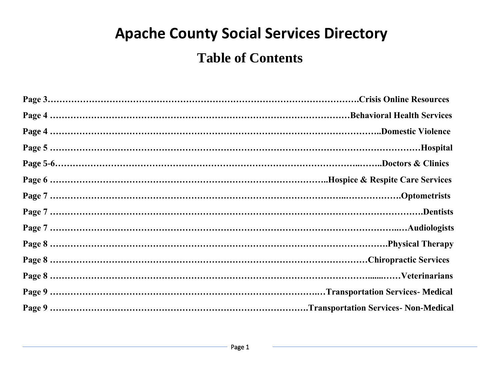# **Apache County Social Services Directory**

# **Table of Contents**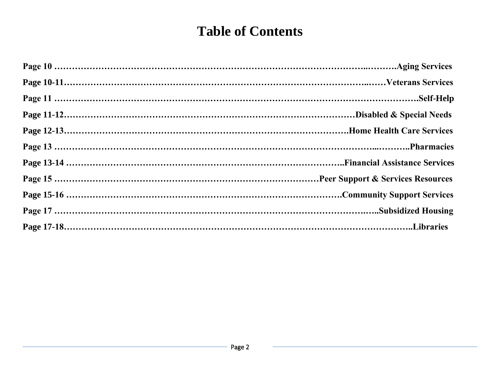# **Table of Contents**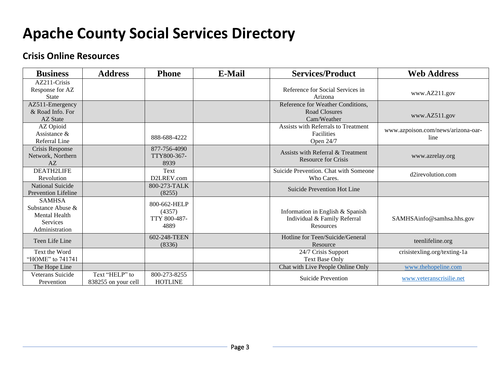# **Apache County Social Services Directory**

#### **Crisis Online Resources**

| <b>Business</b>                                                                                 | <b>Address</b>                        | <b>Phone</b>                                   | <b>E-Mail</b> | <b>Services/Product</b>                                                       | <b>Web Address</b>                         |
|-------------------------------------------------------------------------------------------------|---------------------------------------|------------------------------------------------|---------------|-------------------------------------------------------------------------------|--------------------------------------------|
| $AZ211-Crisis$<br>Response for AZ<br><b>State</b>                                               |                                       |                                                |               | Reference for Social Services in<br>Arizona                                   | www.AZ211.gov                              |
| AZ511-Emergency<br>& Road Info. For<br><b>AZ State</b>                                          |                                       |                                                |               | Reference for Weather Conditions,<br>Road Closures<br>Cam/Weather             | www.AZ511.gov                              |
| AZ Opioid<br>Assistance &<br>Referral Line                                                      |                                       | 888-688-4222                                   |               | Assists with Referrals to Treatment<br>Facilities<br>Open 24/7                | www.azpoison.com/news/arizona-oar-<br>line |
| Crisis Response<br>Network, Northern<br>AZ                                                      |                                       | 877-756-4090<br>TTY800-367-<br>8939            |               | Assists with Referral & Treatment<br><b>Resource for Crisis</b>               | www.azrelay.org                            |
| <b>DEATH2LIFE</b><br>Revolution                                                                 |                                       | Text<br>D2LREV.com                             |               | Suicide Prevention. Chat with Someone<br>Who Cares.                           | d2irevolution.com                          |
| National Suicide<br><b>Prevention Lifeline</b>                                                  |                                       | 800-273-TALK<br>(8255)                         |               | Suicide Prevention Hot Line                                                   |                                            |
| <b>SAMHSA</b><br>Substance Abuse &<br><b>Mental Health</b><br><b>Services</b><br>Administration |                                       | 800-662-HELP<br>(4357)<br>TTY 800-487-<br>4889 |               | Information in English & Spanish<br>Individual & Family Referral<br>Resources | SAMHSAinfo@samhsa.hhs.gov                  |
| Teen Life Line                                                                                  |                                       | 602-248-TEEN<br>(8336)                         |               | Hotline for Teen/Suicide/General<br>Resource                                  | teenlifeline.org                           |
| Text the Word<br>"HOME" to 741741                                                               |                                       |                                                |               | 24/7 Crisis Support<br><b>Text Base Only</b>                                  | crisistexling.org/texting-1a               |
| The Hope Line                                                                                   |                                       |                                                |               | Chat with Live People Online Only                                             | www.thehopeline.com                        |
| Veterans Suicide<br>Prevention                                                                  | Text "HELP" to<br>838255 on your cell | 800-273-8255<br><b>HOTLINE</b>                 |               | <b>Suicide Prevention</b>                                                     | www.veteranscrisilie.net                   |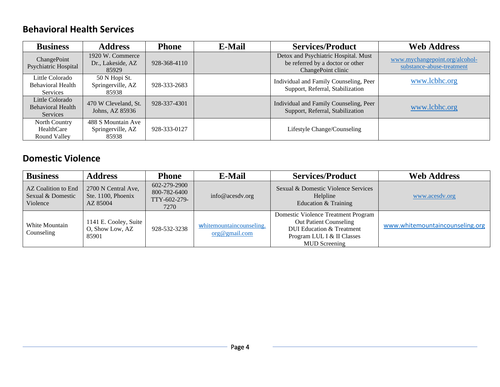#### **Behavioral Health Services**

| <b>Business</b>                                         | <b>Address</b>                                   | <b>Phone</b> | <b>E-Mail</b> | <b>Services/Product</b>                                                                        | <b>Web Address</b>                                          |
|---------------------------------------------------------|--------------------------------------------------|--------------|---------------|------------------------------------------------------------------------------------------------|-------------------------------------------------------------|
| ChangePoint<br><b>Psychiatric Hospital</b>              | 1920 W. Commerce<br>Dr., Lakeside, AZ<br>85929   | 928-368-4110 |               | Detox and Psychiatric Hospital. Must<br>be referred by a doctor or other<br>ChangePoint clinic | www.mychangepoint.org/alcohol-<br>substance-abuse-treatment |
| Little Colorado<br><b>Behavioral Health</b><br>Services | 50 N Hopi St.<br>Springerville, AZ<br>85938      | 928-333-2683 |               | Individual and Family Counseling, Peer<br>Support, Referral, Stabilization                     | www.lcbhc.org                                               |
| Little Colorado<br><b>Behavioral Health</b><br>Services | 470 W Cleveland, St.<br>Johns, AZ 85936          | 928-337-4301 |               | Individual and Family Counseling, Peer<br>Support, Referral, Stabilization                     | www.lcbhc.org                                               |
| North Country<br>HealthCare<br>Round Valley             | 488 S Mountain Ave<br>Springerville, AZ<br>85938 | 928-333-0127 |               | Lifestyle Change/Counseling                                                                    |                                                             |

#### **Domestic Violence**

| <b>Business</b>                                      | <b>Address</b>                                        | <b>Phone</b>                                         | <b>E-Mail</b>                             | <b>Services/Product</b>                                                                                                                                            | <b>Web Address</b>              |
|------------------------------------------------------|-------------------------------------------------------|------------------------------------------------------|-------------------------------------------|--------------------------------------------------------------------------------------------------------------------------------------------------------------------|---------------------------------|
| AZ Coalition to End<br>Sexual & Domestic<br>Violence | 2700 N Central Ave,<br>Ste. 1100, Phoenix<br>AZ 85004 | 602-279-2900<br>800-782-6400<br>TTY-602-279-<br>7270 | info@acesdv.org                           | Sexual & Domestic Violence Services<br>Helpline<br>Education & Training                                                                                            | www.acesdv.org                  |
| White Mountain<br>Counseling                         | 1141 E. Cooley, Suite<br>O, Show Low, AZ<br>85901     | 928-532-3238                                         | whitemountaincounseling.<br>org@gmail.com | Domestic Violence Treatment Program<br><b>Out Patient Counseling</b><br><b>DUI Education &amp; Treatment</b><br>Program LUL I & II Classes<br><b>MUD</b> Screening | www.whitemountaincounseling.org |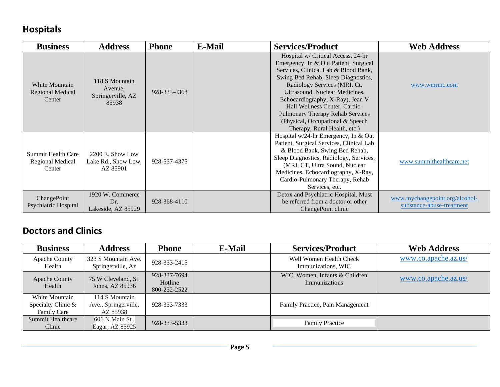# **Hospitals**

| <b>Business</b>                                         | <b>Address</b>                                          | <b>Phone</b> | <b>E-Mail</b> | <b>Services/Product</b>                                                                                                                                                                                                                                                                                                                                                                                   | <b>Web Address</b>                                          |
|---------------------------------------------------------|---------------------------------------------------------|--------------|---------------|-----------------------------------------------------------------------------------------------------------------------------------------------------------------------------------------------------------------------------------------------------------------------------------------------------------------------------------------------------------------------------------------------------------|-------------------------------------------------------------|
| White Mountain<br><b>Regional Medical</b><br>Center     | 118 S Mountain<br>Avenue,<br>Springerville, AZ<br>85938 | 928-333-4368 |               | Hospital w/ Critical Access, 24-hr<br>Emergency, In & Out Patient, Surgical<br>Services, Clinical Lab & Blood Bank,<br>Swing Bed Rehab, Sleep Diagnostics,<br>Radiology Services (MRI, Ct,<br>Ultrasound, Nuclear Medicines,<br>Echocardiography, X-Ray), Jean V<br>Hall Wellness Center, Cardio-<br>Pulmonary Therapy Rehab Services<br>(Physical, Occupational & Speech<br>Therapy, Rural Health, etc.) | www.wmrmc.com                                               |
| <b>Summit Health Care</b><br>Regional Medical<br>Center | 2200 E. Show Low<br>Lake Rd., Show Low,<br>AZ 85901     | 928-537-4375 |               | Hospital w/24-hr Emergency, In & Out<br>Patient, Surgical Services, Clinical Lab<br>& Blood Bank, Swing Bed Rehab,<br>Sleep Diagnostics, Radiology, Services,<br>(MRI, CT, Ultra Sound, Nuclear<br>Medicines, Echocardiography, X-Ray,<br>Cardio-Pulmonary Therapy, Rehab<br>Services, etc.                                                                                                               | www.summithealthcare.net                                    |
| ChangePoint<br>Psychiatric Hospital                     | 1920 W. Commerce<br>Dr.<br>Lakeside, AZ 85929           | 928-368-4110 |               | Detox and Psychiatric Hospital. Must<br>be referred from a doctor or other<br>ChangePoint clinic                                                                                                                                                                                                                                                                                                          | www.mychangepoint.org/alcohol-<br>substance-abuse-treatment |

#### **Doctors and Clinics**

| <b>Business</b>                                            | <b>Address</b>                                     | <b>Phone</b>                            | <b>E-Mail</b> | <b>Services/Product</b>                         | <b>Web Address</b>   |
|------------------------------------------------------------|----------------------------------------------------|-----------------------------------------|---------------|-------------------------------------------------|----------------------|
| <b>Apache County</b><br>Health                             | 323 S Mountain Ave.<br>Springerville, Az           | 928-333-2415                            |               | Well Women Health Check<br>Immunizations, WIC   | www.co.apache.az.us/ |
| <b>Apache County</b><br>Health                             | 75 W Cleveland, St.<br>Johns, AZ 85936             | 928-337-7694<br>Hotline<br>800-232-2522 |               | WIC, Women, Infants & Children<br>Immunizations | www.co.apache.az.us/ |
| White Mountain<br>Specialty Clinic &<br><b>Family Care</b> | 114 S Mountain<br>Ave., Springerville,<br>AZ 85938 | 928-333-7333                            |               | Family Practice, Pain Management                |                      |
| <b>Summit Healthcare</b><br>Clinic                         | 606 N Main St.,<br>Eagar, AZ 85925                 | 928-333-5333                            |               | <b>Family Practice</b>                          |                      |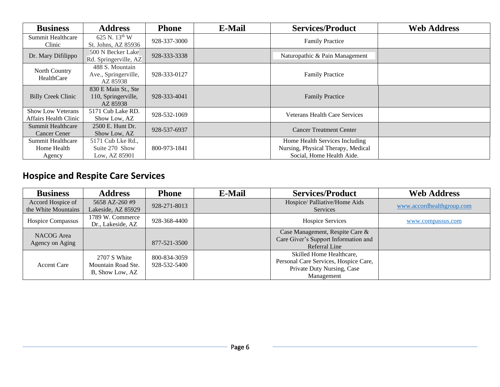| <b>Business</b>                                   | <b>Address</b>                                         | <b>Phone</b> | <b>E-Mail</b> | <b>Services/Product</b>                                                                           | <b>Web Address</b> |
|---------------------------------------------------|--------------------------------------------------------|--------------|---------------|---------------------------------------------------------------------------------------------------|--------------------|
| <b>Summit Healthcare</b><br>Clinic                | 625 N. 13th W<br>St. Johns, AZ 85936                   | 928-337-3000 |               | <b>Family Practice</b>                                                                            |                    |
| Dr. Mary Difilippo                                | 500 N Becker Lake<br>Rd. Springerville, AZ             | 928-333-3338 |               | Naturopathic & Pain Management                                                                    |                    |
| North Country<br>HealthCare                       | 488 S. Mountain<br>Ave., Springerville,<br>AZ 85938    | 928-333-0127 |               | <b>Family Practice</b>                                                                            |                    |
| <b>Billy Creek Clinic</b>                         | 830 E Main St., Ste<br>110, Springerville,<br>AZ 85938 | 928-333-4041 |               | <b>Family Practice</b>                                                                            |                    |
| <b>Show Low Veterans</b><br>Affairs Health Clinic | 5171 Cub Lake RD.<br>Show Low, AZ                      | 928-532-1069 |               | <b>Veterans Health Care Services</b>                                                              |                    |
| Summit Healthcare<br><b>Cancer Cener</b>          | 2500 E. Hunt Dr.<br>Show Low, AZ                       | 928-537-6937 |               | <b>Cancer Treatment Center</b>                                                                    |                    |
| Summit Healthcare<br>Home Health<br>Agency        | 5171 Cub Lke Rd.,<br>Suite 270 Show<br>Low, AZ 85901   | 800-973-1841 |               | Home Health Services Including<br>Nursing, Physical Therapy, Medical<br>Social, Home Health Aide. |                    |

# **Hospice and Respite Care Services**

| <b>Business</b>                          | <b>Address</b>                       | <b>Phone</b> | E-Mail | <b>Services/Product</b>                   | <b>Web Address</b>        |
|------------------------------------------|--------------------------------------|--------------|--------|-------------------------------------------|---------------------------|
| Accord Hospice of<br>the White Mountains | 5658 AZ-260 #9<br>Lakeside, AZ 85929 | 928-271-8013 |        | Hospice/ Palliative/Home Aids<br>Services | www.accordhealthgroup.com |
|                                          | 1789 W. Commerce                     |              |        |                                           |                           |
| Hospice Compassus                        | Dr., Lakeside, AZ                    | 928-368-4400 |        | <b>Hospice Services</b>                   | www.compassus.com         |
| NACOG Area                               |                                      |              |        | Case Management, Respite Care &           |                           |
| Agency on Aging                          |                                      | 877-521-3500 |        | Care Giver's Support Information and      |                           |
|                                          |                                      |              |        | Referral Line                             |                           |
|                                          | 2707 S White                         | 800-834-3059 |        | Skilled Home Healthcare,                  |                           |
| <b>Accent Care</b>                       | Mountain Road Ste.                   |              |        | Personal Care Services, Hospice Care,     |                           |
|                                          |                                      | 928-532-5400 |        | Private Duty Nursing, Case                |                           |
|                                          | B, Show Low, AZ                      |              |        | Management                                |                           |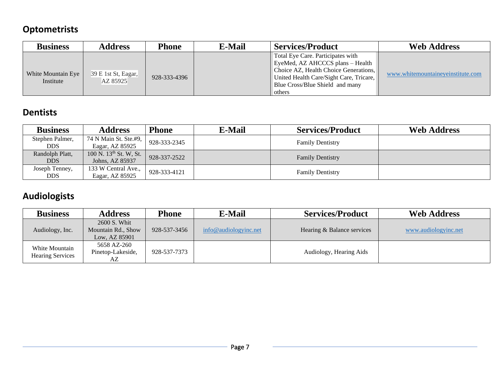#### **Optometrists**

| <b>Business</b>                 | <b>Address</b>                  | Phone        | <b>E-Mail</b> | <b>Services/Product</b>                                                                                                                                                                                         | <b>Web Address</b>                |
|---------------------------------|---------------------------------|--------------|---------------|-----------------------------------------------------------------------------------------------------------------------------------------------------------------------------------------------------------------|-----------------------------------|
| White Mountain Eye<br>Institute | 39 E 1st St, Eagar,<br>AZ 85925 | 928-333-4396 |               | Total Eye Care. Participates with<br>EyeMed, AZ AHCCCS plans – Health<br>Choice AZ, Health Choice Generations,<br>United Health Care/Sight Care, Tricare,<br>Blue Cross/Blue Shield and many<br><b>l</b> others | www.whitemountaineveinstitute.com |

# **Dentists**

| <b>Business</b>              | <b>Address</b>                                        | <b>Phone</b> | <b>E-Mail</b> | <b>Services/Product</b> | <b>Web Address</b> |
|------------------------------|-------------------------------------------------------|--------------|---------------|-------------------------|--------------------|
| Stephen Palmer,<br>DDS.      | 74 N Main St. Ste.#9,<br>Eagar, AZ 85925              | 928-333-2345 |               | <b>Family Dentistry</b> |                    |
| Randolph Platt,<br>DDS.      | 100 N. 13 <sup>th</sup> St. W, St.<br>Johns, AZ 85937 | 928-337-2522 |               | <b>Family Dentistry</b> |                    |
| Joseph Tenney,<br><b>DDS</b> | 133 W Central Ave.,<br>Eagar, AZ 85925                | 928-333-4121 |               | <b>Family Dentistry</b> |                    |

#### **Audiologists**

| <b>Business</b>                           | <b>Address</b>                                      | Phone        | E-Mail                | <b>Services/Product</b>    | <b>Web Address</b>   |
|-------------------------------------------|-----------------------------------------------------|--------------|-----------------------|----------------------------|----------------------|
| Audiology, Inc.                           | 2600 S. Whit<br>Mountain Rd., Show<br>Low, AZ 85901 | 928-537-3456 | info@audiologyinc.net | Hearing & Balance services | www.audiologyinc.net |
| White Mountain<br><b>Hearing Services</b> | 5658 AZ-260<br>Pinetop-Lakeside,<br>AZ              | 928-537-7373 |                       | Audiology, Hearing Aids    |                      |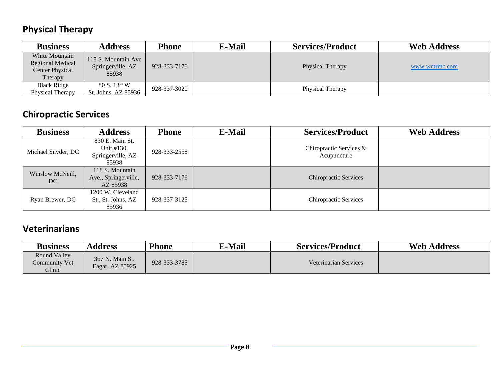# **Physical Therapy**

| <b>Business</b>                                                  | <b>Address</b>                                    | Phone        | E-Mail | <b>Services/Product</b> | <b>Web Address</b> |
|------------------------------------------------------------------|---------------------------------------------------|--------------|--------|-------------------------|--------------------|
| White Mountain<br>Regional Medical<br>Center Physical<br>Therapy | 118 S. Mountain Ave<br>Springerville, AZ<br>85938 | 928-333-7176 |        | Physical Therapy        | www.wmrmc.com      |
| <b>Black Ridge</b><br>Physical Therapy                           | 80 S. 13 <sup>th</sup> W<br>St. Johns, AZ 85936   | 928-337-3020 |        | Physical Therapy        |                    |

# **Chiropractic Services**

| <b>Business</b>        | <b>Address</b>                                              | <b>Phone</b> | E-Mail | <b>Services/Product</b>                | <b>Web Address</b> |
|------------------------|-------------------------------------------------------------|--------------|--------|----------------------------------------|--------------------|
| Michael Snyder, DC     | 830 E. Main St.<br>Unit #130,<br>Springerville, AZ<br>85938 | 928-333-2558 |        | Chiropractic Services &<br>Acupuncture |                    |
| Winslow McNeill,<br>DC | 118 S. Mountain<br>Ave., Springerville,<br>AZ 85938         | 928-333-7176 |        | <b>Chiropractic Services</b>           |                    |
| Ryan Brewer, DC        | 1200 W. Cleveland<br>St., St. Johns, AZ<br>85936            | 928-337-3125 |        | <b>Chiropractic Services</b>           |                    |

#### **Veterinarians**

| <b>Business</b>                         | Address                            | <b>Phone</b> | <b>E-Mail</b> | <b>Services/Product</b> | <b>Web Address</b> |
|-----------------------------------------|------------------------------------|--------------|---------------|-------------------------|--------------------|
| Round Valley<br>Community Vet<br>Clinic | 367 N. Main St.<br>Eagar, AZ 85925 | 928-333-3785 |               | Veterinarian Services   |                    |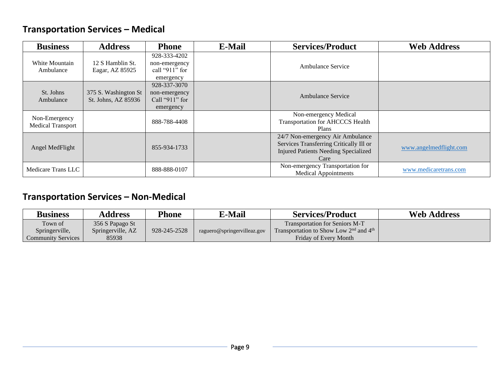#### **Transportation Services – Medical**

| <b>Business</b>                           | <b>Address</b>                              | <b>Phone</b>                                                     | <b>E-Mail</b> | <b>Services/Product</b>                                                                                                            | <b>Web Address</b>     |
|-------------------------------------------|---------------------------------------------|------------------------------------------------------------------|---------------|------------------------------------------------------------------------------------------------------------------------------------|------------------------|
| White Mountain<br>Ambulance               | 12 S Hamblin St.<br>Eagar, AZ 85925         | 928-333-4202<br>non-emergency<br>call " $911$ " for<br>emergency |               | <b>Ambulance Service</b>                                                                                                           |                        |
| St. Johns<br>Ambulance                    | 375 S. Washington St<br>St. Johns, AZ 85936 | 928-337-3070<br>non-emergency<br>Call " $911$ " for<br>emergency |               | <b>Ambulance Service</b>                                                                                                           |                        |
| Non-Emergency<br><b>Medical Transport</b> |                                             | 888-788-4408                                                     |               | Non-emergency Medical<br>Transportation for AHCCCS Health<br><b>Plans</b>                                                          |                        |
| Angel MedFlight                           |                                             | 855-934-1733                                                     |               | 24/7 Non-emergency Air Ambulance<br>Services Transferring Critically Ill or<br><b>Injured Patients Needing Specialized</b><br>Care | www.angelmedflight.com |
| Medicare Trans LLC                        |                                             | 888-888-0107                                                     |               | Non-emergency Transportation for<br><b>Medical Appointments</b>                                                                    | www.medicaretrans.com  |

#### **Transportation Services – Non-Medical**

| <b>Business</b>    | <b>Address</b>    | Phone        | <b>E-Mail</b>               | <b>Services/Product</b>                          | <b>Web Address</b> |
|--------------------|-------------------|--------------|-----------------------------|--------------------------------------------------|--------------------|
| Town of            | 356 S Papago St   |              |                             | <b>Transportation for Seniors M-T</b>            |                    |
| Springerville,     | Springerville, AZ | 928-245-2528 | raguero@springervilleaz.gov | Transportation to Show Low $2^{nd}$ and $4^{th}$ |                    |
| Community Services | 85938             |              |                             | Friday of Every Month                            |                    |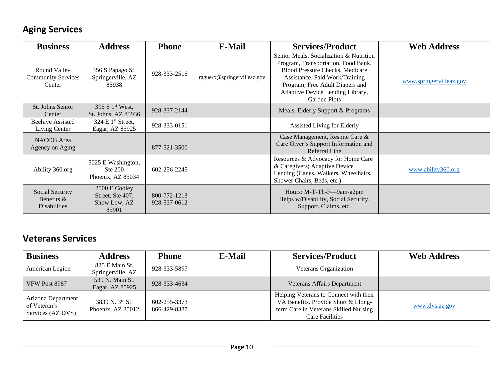#### **Aging Services**

| <b>Business</b>                                      | <b>Address</b>                                             | <b>Phone</b>                 | <b>E-Mail</b>               | <b>Services/Product</b>                                                                                                                                                                                                                           | <b>Web Address</b>      |
|------------------------------------------------------|------------------------------------------------------------|------------------------------|-----------------------------|---------------------------------------------------------------------------------------------------------------------------------------------------------------------------------------------------------------------------------------------------|-------------------------|
| Round Valley<br><b>Community Services</b><br>Center  | 356 S Papago St.<br>Springerville, AZ<br>85938             | 928-333-2516                 | raguero@springervilleaz.gov | Senior Meals, Socialization & Nutrition<br>Program, Transportation, Food Bank,<br><b>Blood Pressure Checks, Medicare</b><br>Assistance, Paid Work/Training<br>Program, Free Adult Diapers and<br>Adaptive Device Lending Library,<br>Garden Plots | www.springervilleaz.gov |
| St. Johns Senior<br>Center                           | 395 S 1 <sup>st</sup> West,<br>St. Johns, AZ 85936         | 928-337-2144                 |                             | Meals, Elderly Support & Programs                                                                                                                                                                                                                 |                         |
| <b>Beehive Assisted</b><br>Living Center             | 324 E $1st$ Street,<br>Eagar, AZ 85925                     | 928-333-0151                 |                             | Assisted Living for Elderly                                                                                                                                                                                                                       |                         |
| NACOG Area<br>Agency on Aging                        |                                                            | 877-521-3500                 |                             | Case Management, Respite Care &<br>Care Giver's Support Information and<br>Referral Line                                                                                                                                                          |                         |
| Ability 360.org                                      | 5025 E Washington,<br>Ste 200<br>Phoenix, AZ 85034         | 602-256-2245                 |                             | Resources & Advocacy for Home Care<br>& Caregivers; Adaptive Device<br>Lending (Canes, Walkers, Wheelhairs,<br>Shower Chairs, Beds, etc.)                                                                                                         | www.ability360.org      |
| Social Security<br>Benefits &<br><b>Disabilities</b> | 2500 E Cooley<br>Street, Ste 407,<br>Show Low, AZ<br>85901 | 800-772-1213<br>928-537-0612 |                             | Hours: M-T-Th-F-9am-a2pm<br>Helps w/Disability, Social Security,<br>Support, Claims, etc.                                                                                                                                                         |                         |

#### **Veterans Services**

| <b>Business</b>                                         | <b>Address</b>                       | <b>Phone</b>                 | E-Mail | <b>Services/Product</b>                                                                                                                          | <b>Web Address</b> |
|---------------------------------------------------------|--------------------------------------|------------------------------|--------|--------------------------------------------------------------------------------------------------------------------------------------------------|--------------------|
| American Legion                                         | 825 E Main St.<br>Springerville, AZ  | 928-333-5897                 |        | Veterans Organization                                                                                                                            |                    |
| VFW Post 8987                                           | 539 N. Main St.<br>Eagar, AZ 85925   | 928-333-4634                 |        | Veterans Affairs Department                                                                                                                      |                    |
| Arizona Department<br>of Veteran's<br>Services (AZ DVS) | 3839 N. 3rd St.<br>Phoenix, AZ 85012 | 602-255-3373<br>866-429-8387 |        | Helping Veterans to Connect with their<br>VA Benefits. Provide Short & Llong-<br>term Care in Veterans Skilled Nursing<br><b>Care Facilities</b> | www.dvs.az.gov     |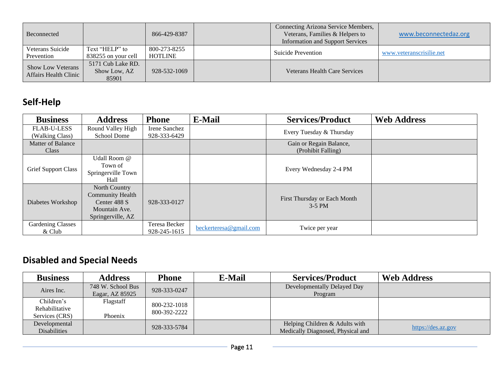| Beconnected                                              |                                            | 866-429-8387                   | Connecting Arizona Service Members,<br>Veterans, Families & Helpers to<br><b>Information and Support Services</b> | www.beconnectedaz.org    |
|----------------------------------------------------------|--------------------------------------------|--------------------------------|-------------------------------------------------------------------------------------------------------------------|--------------------------|
| Veterans Suicide<br>Prevention                           | Text "HELP" to<br>838255 on your cell      | 800-273-8255<br><b>HOTLINE</b> | Suicide Prevention                                                                                                | www.yeteranscrisilie.net |
| <b>Show Low Veterans</b><br><b>Affairs Health Clinic</b> | 5171 Cub Lake RD.<br>Show Low, AZ<br>85901 | 928-532-1069                   | <b>Veterans Health Care Services</b>                                                                              |                          |

# **Self-Help**

| <b>Business</b>                       | <b>Address</b>                                                                                 | <b>Phone</b>                  | <b>E-Mail</b>          | <b>Services/Product</b>                       | <b>Web Address</b> |
|---------------------------------------|------------------------------------------------------------------------------------------------|-------------------------------|------------------------|-----------------------------------------------|--------------------|
| <b>FLAB-U-LESS</b><br>(Walking Class) | Round Valley High<br>School Dome                                                               | Irene Sanchez<br>928-333-6429 |                        | Every Tuesday & Thursday                      |                    |
| <b>Matter of Balance</b><br>Class     |                                                                                                |                               |                        | Gain or Regain Balance,<br>(Prohibit Falling) |                    |
| <b>Grief Support Class</b>            | Udall Room @<br>Town of<br>Springerville Town<br>Hall                                          |                               |                        | Every Wednesday 2-4 PM                        |                    |
| Diabetes Workshop                     | North Country<br><b>Community Health</b><br>Center 488 S<br>Mountain Ave.<br>Springerville, AZ | 928-333-0127                  |                        | First Thursday or Each Month<br>$3-5$ PM      |                    |
| <b>Gardening Classes</b><br>$&$ Club  |                                                                                                | Teresa Becker<br>928-245-1615 | beckerteresa@gmail.com | Twice per year                                |                    |

# **Disabled and Special Needs**

| <b>Business</b>     | <b>Address</b>    | <b>Phone</b> | <b>E-Mail</b> | <b>Services/Product</b>           | <b>Web Address</b> |
|---------------------|-------------------|--------------|---------------|-----------------------------------|--------------------|
| Aires Inc.          | 748 W. School Bus | 928-333-0247 |               | Developmentally Delayed Day       |                    |
|                     | Eagar, AZ 85925   |              |               | Program                           |                    |
| Children's          | Flagstaff         | 800-232-1018 |               |                                   |                    |
| Rehabilitative      |                   | 800-392-2222 |               |                                   |                    |
| Services (CRS)      | Phoenix           |              |               |                                   |                    |
| Developmental       |                   |              |               | Helping Children & Adults with    |                    |
| <b>Disabilities</b> |                   | 928-333-5784 |               | Medically Diagnosed, Physical and | https://des.az.gov |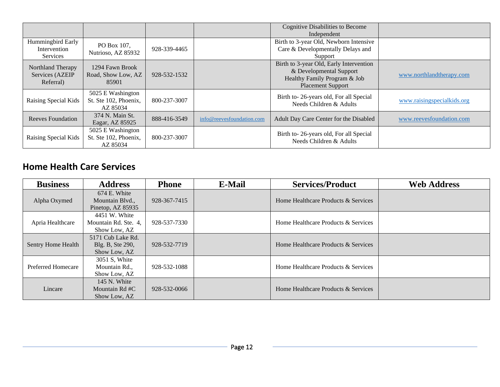|                                                   |                                                        |              |                           | Cognitive Disabilities to Become<br>Independent                                                                                |                            |
|---------------------------------------------------|--------------------------------------------------------|--------------|---------------------------|--------------------------------------------------------------------------------------------------------------------------------|----------------------------|
| Hummingbird Early<br>Intervention<br>Services     | PO Box 107,<br>Nutrioso, AZ 85932                      | 928-339-4465 |                           | Birth to 3-year Old, Newborn Intensive<br>Care & Developmentally Delays and<br>Support                                         |                            |
| Northland Therapy<br>Services (AZEIP<br>Referral) | 1294 Fawn Brook<br>Road, Show Low, AZ<br>85901         | 928-532-1532 |                           | Birth to 3-year Old, Early Intervention<br>& Developmental Support<br>Healthy Family Program & Job<br><b>Placement Support</b> | www.northlandtherapy.com   |
| Raising Special Kids                              | 5025 E Washington<br>St. Ste 102, Phoenix,<br>AZ 85034 | 800-237-3007 |                           | Birth to-26-years old, For all Special<br>Needs Children & Adults                                                              | www.raisingspecialkids.org |
| <b>Reeves Foundation</b>                          | 374 N. Main St.<br>Eagar, AZ 85925                     | 888-416-3549 | info@reevesfoundation.com | Adult Day Care Center for the Disabled                                                                                         | www.reevesfoundation.com   |
| Raising Special Kids                              | 5025 E Washington<br>St. Ste 102, Phoenix,<br>AZ 85034 | 800-237-3007 |                           | Birth to-26-years old, For all Special<br>Needs Children & Adults                                                              |                            |

#### **Home Health Care Services**

| <b>Business</b>    | <b>Address</b>                                        | <b>Phone</b> | E-Mail | <b>Services/Product</b>             | <b>Web Address</b> |
|--------------------|-------------------------------------------------------|--------------|--------|-------------------------------------|--------------------|
| Alpha Oxymed       | 674 E. White<br>Mountain Blvd.,<br>Pinetop, AZ 85935  | 928-367-7415 |        | Home Healthcare Products & Services |                    |
| Apria Healthcare   | 4451 W. White<br>Mountain Rd. Ste. 4,<br>Show Low, AZ | 928-537-7330 |        | Home Healthcare Products & Services |                    |
| Sentry Home Health | 5171 Cub Lake Rd.<br>Blg. B, Ste 290,<br>Show Low, AZ | 928-532-7719 |        | Home Healthcare Products & Services |                    |
| Preferred Homecare | 3051 S, White<br>Mountain Rd.,<br>Show Low, AZ        | 928-532-1088 |        | Home Healthcare Products & Services |                    |
| Lincare            | 145 N. White<br>Mountain Rd #C<br>Show Low, AZ        | 928-532-0066 |        | Home Healthcare Products & Services |                    |

÷,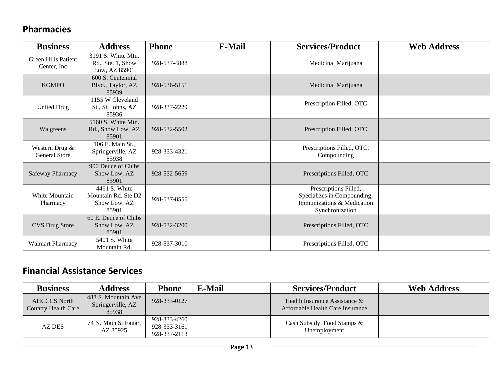#### **Pharmacies**

| <b>Business</b>                            | <b>Address</b>                                                | <b>Phone</b> | <b>E-Mail</b> | <b>Services/Product</b>                                                                               | <b>Web Address</b> |
|--------------------------------------------|---------------------------------------------------------------|--------------|---------------|-------------------------------------------------------------------------------------------------------|--------------------|
| <b>Green Hills Patient</b><br>Center, Inc. | 3191 S. White Mtn.<br>Rd., Ste. 1, Show<br>Low, AZ 85901      | 928-537-4888 |               | Medicinal Marijuana                                                                                   |                    |
| <b>KOMPO</b>                               | 600 S. Centennial<br>Blvd., Taylor, AZ<br>85939               | 928-536-5151 |               | Medicinal Marijuana                                                                                   |                    |
| <b>United Drug</b>                         | 1155 W Cleveland<br>St., St. Johns, AZ<br>85936               | 928-337-2229 |               | Prescription Filled, OTC                                                                              |                    |
| Walgreens                                  | 5160 S. White Mtn.<br>Rd., Show Low, AZ<br>85901              | 928-532-5502 |               | Prescription Filled, OTC                                                                              |                    |
| Western Drug &<br><b>General Store</b>     | 106 E. Main St.,<br>Springerville, AZ<br>85938                | 928-333-4321 |               | Prescriptions Filled, OTC,<br>Compounding                                                             |                    |
| Safeway Pharmacy                           | 900 Deuce of Clubs<br>Show Low, AZ<br>85901                   | 928-532-5659 |               | Prescriptions Filled, OTC                                                                             |                    |
| White Mountain<br>Pharmacy                 | 4461 S. White<br>Mountain Rd. Ste D2<br>Show Low, AZ<br>85901 | 928-537-8555 |               | Prescriptions Filled,<br>Specializes in Compounding,<br>Immunizations & Medication<br>Synchronization |                    |
| <b>CVS Drug Store</b>                      | 60 E. Deuce of Clubs<br>Show Low, AZ<br>85901                 | 928-532-3200 |               | Prescriptions Filled, OTC                                                                             |                    |
| <b>Walmart Pharmacy</b>                    | 5401 S. White<br>Mountain Rd.                                 | 928-537-3010 |               | Prescriptions Filled, OTC                                                                             |                    |

#### **Financial Assistance Services**

| <b>Business</b>                                   | <b>Address</b>                                    | Phone                                        | <b>E-Mail</b> | <b>Services/Product</b>                                              | <b>Web Address</b> |
|---------------------------------------------------|---------------------------------------------------|----------------------------------------------|---------------|----------------------------------------------------------------------|--------------------|
| <b>AHCCCS North</b><br><b>Country Health Care</b> | 488 S. Mountain Ave<br>Springerville, AZ<br>85938 | 928-333-0127                                 |               | Health Insurance Assistance $\&$<br>Affordable Health Care Insurance |                    |
| <b>AZ DES</b>                                     | 74 N. Main St Eagar,<br>AZ 85925                  | 928-333-4260<br>928-333-3161<br>928-337-2113 |               | Cash Subsidy, Food Stamps &<br>Unemployment                          |                    |

 $\overline{\phantom{0}}$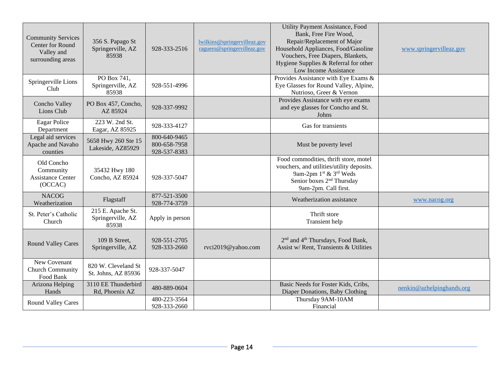| <b>Community Services</b><br>Center for Round<br>Valley and<br>surrounding areas | 356 S. Papago St<br>Springerville, AZ<br>85938  | 928-333-2516                                 | lwilkins@springervilleaz.gov<br>raguero@springervilleaz.gov | Utility Payment Assistance, Food<br>Bank, Free Fire Wood,<br>Repair/Replacement of Major<br>Household Appliances, Food/Gasoline<br>Vouchers, Free Diapers, Blankets,<br>Hygiene Supplies & Referral for other<br>Low Income Assistance | www.springervilleaz.gov   |
|----------------------------------------------------------------------------------|-------------------------------------------------|----------------------------------------------|-------------------------------------------------------------|----------------------------------------------------------------------------------------------------------------------------------------------------------------------------------------------------------------------------------------|---------------------------|
| Springerville Lions<br>Club                                                      | PO Box 741,<br>Springerville, AZ<br>85938       | 928-551-4996                                 |                                                             | Provides Assistance with Eye Exams &<br>Eye Glasses for Round Valley, Alpine,<br>Nutrioso, Greer & Vernon                                                                                                                              |                           |
| Concho Valley<br>Lions Club                                                      | PO Box 457, Concho,<br>AZ 85924                 | 928-337-9992                                 |                                                             | Provides Assistance with eye exams<br>and eye glasses for Concho and St.<br>Johns                                                                                                                                                      |                           |
| <b>Eagar Police</b><br>Department                                                | 223 W. 2nd St.<br>Eagar, AZ 85925               | 928-333-4127                                 |                                                             | Gas for transients                                                                                                                                                                                                                     |                           |
| Legal aid services<br>Apache and Navaho<br>counties                              | 5658 Hwy 260 Ste 15<br>Lakeside, AZ85929        | 800-640-9465<br>800-658-7958<br>928-537-8383 |                                                             | Must be poverty level                                                                                                                                                                                                                  |                           |
| Old Concho<br>Community<br><b>Assistance Center</b><br>(OCCAC)                   | 35432 Hwy 180<br>Concho, AZ 85924               | 928-337-5047                                 |                                                             | Food commodities, thrift store, motel<br>vouchers, and utilities/utility deposits.<br>9am-2pm 1st & 3rd Weds<br>Senior boxes 2 <sup>nd</sup> Thursday<br>9am-2pm. Call first.                                                          |                           |
| <b>NACOG</b><br>Weatherization                                                   | Flagstaff                                       | 877-521-3500<br>928-774-3759                 |                                                             | Weatherization assistance                                                                                                                                                                                                              | www.nacog.org             |
| St. Peter's Catholic<br>Church                                                   | 215 E. Apache St.<br>Springerville, AZ<br>85938 | Apply in person                              |                                                             | Thrift store<br>Transient help                                                                                                                                                                                                         |                           |
| <b>Round Valley Cares</b>                                                        | 109 B Street,<br>Springerville, AZ              | 928-551-2705<br>928-333-2660                 | rvci2019@yahoo.com                                          | 2 <sup>nd</sup> and 4 <sup>th</sup> Thursdays, Food Bank,<br>Assist w/ Rent, Transients & Utilities                                                                                                                                    |                           |
| New Covenant<br><b>Church Community</b><br>Food Bank                             | 820 W. Cleveland St<br>St. Johns, AZ 85936      | 928-337-5047                                 |                                                             |                                                                                                                                                                                                                                        |                           |
| Arizona Helping<br>Hands                                                         | 3110 EE Thunderbird<br>Rd, Phoenix AZ           | 480-889-0604                                 |                                                             | Basic Needs for Foster Kids, Cribs,<br>Diaper Donations, Baby Clothing                                                                                                                                                                 | nenkin@azhelpinghands.org |
| <b>Round Valley Cares</b>                                                        |                                                 | 480-223-3564<br>928-333-2660                 |                                                             | Thursday 9AM-10AM<br>Financial                                                                                                                                                                                                         |                           |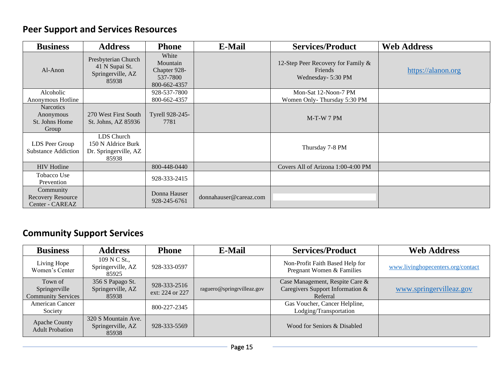# **Peer Support and Services Resources**

| <b>Business</b>                                          | <b>Address</b>                                                      | <b>Phone</b>                                                  | <b>E-Mail</b>          | <b>Services/Product</b>                                             | <b>Web Address</b> |
|----------------------------------------------------------|---------------------------------------------------------------------|---------------------------------------------------------------|------------------------|---------------------------------------------------------------------|--------------------|
| Al-Anon                                                  | Presbyterian Church<br>41 N Supai St.<br>Springerville, AZ<br>85938 | White<br>Mountain<br>Chapter 928-<br>537-7800<br>800-662-4357 |                        | 12-Step Peer Recovery for Family &<br>Friends<br>Wednesday- 5:30 PM | https://alanon.org |
| Alcoholic<br>Anonymous Hotline                           |                                                                     | 928-537-7800<br>800-662-4357                                  |                        | Mon-Sat 12-Noon-7 PM<br>Women Only-Thursday 5:30 PM                 |                    |
| <b>Narcotics</b><br>Anonymous<br>St. Johns Home<br>Group | 270 West First South<br>St. Johns, AZ 85936                         | Tyrell 928-245-<br>7781                                       |                        | $M-T-W$ 7 PM                                                        |                    |
| LDS Peer Group<br><b>Substance Addiction</b>             | LDS Church<br>150 N Aldrice Burk<br>Dr. Springerville, AZ<br>85938  |                                                               |                        | Thursday 7-8 PM                                                     |                    |
| <b>HIV</b> Hotline                                       |                                                                     | 800-448-0440                                                  |                        | Covers All of Arizona 1:00-4:00 PM                                  |                    |
| Tobacco Use<br>Prevention                                |                                                                     | 928-333-2415                                                  |                        |                                                                     |                    |
| Community<br>Recovery Resource<br>Center - CAREAZ        |                                                                     | Donna Hauser<br>928-245-6761                                  | donnahauser@careaz.com |                                                                     |                    |

# **Community Support Services**

| <b>Business</b>                                       | <b>Address</b>                                    | <b>Phone</b>                    | E-Mail                     | <b>Services/Product</b>                                                         | <b>Web Address</b>                |
|-------------------------------------------------------|---------------------------------------------------|---------------------------------|----------------------------|---------------------------------------------------------------------------------|-----------------------------------|
| Living Hope<br>Women's Center                         | 109 N C St.,<br>Springerville, AZ<br>85925        | 928-333-0597                    |                            | Non-Profit Faith Based Help for<br>Pregnant Women & Families                    | www.livinghopecenters.org/contact |
| Town of<br>Springerville<br><b>Community Services</b> | 356 S Papago St.<br>Springerville, AZ<br>85938    | 928-333-2516<br>ext: 224 or 227 | raguero@springrvilleaz.gov | Case Management, Respite Care &<br>Caregivers Support Information &<br>Referral | www.springervilleaz.gov           |
| <b>American Cancer</b><br>Society                     |                                                   | 800-227-2345                    |                            | Gas Voucher, Cancer Helpline,<br>Lodging/Transportation                         |                                   |
| Apache County<br><b>Adult Probation</b>               | 320 S Mountain Ave.<br>Springerville, AZ<br>85938 | 928-333-5569                    |                            | Wood for Seniors & Disabled                                                     |                                   |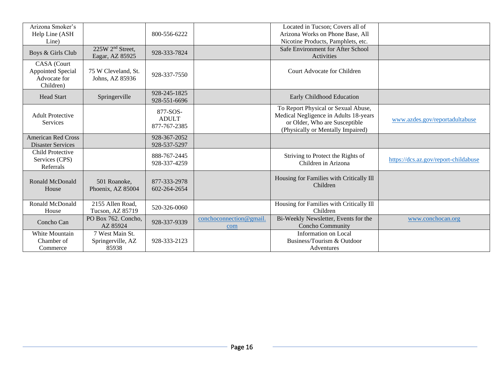| Arizona Smoker's<br>Help Line (ASH                            |                                                 | 800-556-6222                             |                                | Located in Tucson; Covers all of<br>Arizona Works on Phone Base, All                                                                               |                                      |
|---------------------------------------------------------------|-------------------------------------------------|------------------------------------------|--------------------------------|----------------------------------------------------------------------------------------------------------------------------------------------------|--------------------------------------|
| Line)<br>Boys & Girls Club                                    | 225W 2 <sup>nd</sup> Street,<br>Eagar, AZ 85925 | 928-333-7824                             |                                | Nicotine Products, Pamphlets, etc.<br>Safe Environment for After School<br>Activities                                                              |                                      |
| CASA (Court<br>Appointed Special<br>Advocate for<br>Children) | 75 W Cleveland, St.<br>Johns, AZ 85936          | 928-337-7550                             |                                | Court Advocate for Children                                                                                                                        |                                      |
| <b>Head Start</b>                                             | Springerville                                   | 928-245-1825<br>928-551-6696             |                                | Early Childhood Education                                                                                                                          |                                      |
| <b>Adult Protective</b><br><b>Services</b>                    |                                                 | 877-SOS-<br><b>ADULT</b><br>877-767-2385 |                                | To Report Physical or Sexual Abuse,<br>Medical Negligence in Adults 18-years<br>or Older, Who are Susceptible<br>(Physically or Mentally Impaired) | www.azdes.gov/reportadultabuse       |
| <b>American Red Cross</b><br><b>Disaster Services</b>         |                                                 | 928-367-2052<br>928-537-5297             |                                |                                                                                                                                                    |                                      |
| Child Protective<br>Services (CPS)<br>Referrals               |                                                 | 888-767-2445<br>928-337-4259             |                                | Striving to Protect the Rights of<br>Children in Arizona                                                                                           | https://dcs.az.gov/report-childabuse |
| Ronald McDonald<br>House                                      | 501 Roanoke,<br>Phoenix, AZ 85004               | 877-333-2978<br>602-264-2654             |                                | Housing for Families with Critically Ill<br>Children                                                                                               |                                      |
| Ronald McDonald<br>House                                      | 2155 Allen Road,<br>Tucson, AZ 85719            | 520-326-0060                             |                                | Housing for Families with Critically Ill<br>Children                                                                                               |                                      |
| Concho Can                                                    | PO Box 762. Concho,<br>AZ 85924                 | 928-337-9339                             | conchoconnection@gmail.<br>com | Bi-Weekly Newsletter, Events for the<br><b>Concho Community</b>                                                                                    | www.conchocan.org                    |
| White Mountain<br>Chamber of<br>Commerce                      | 7 West Main St.<br>Springerville, AZ<br>85938   | 928-333-2123                             |                                | <b>Information</b> on Local<br>Business/Tourism & Outdoor<br>Adventures                                                                            |                                      |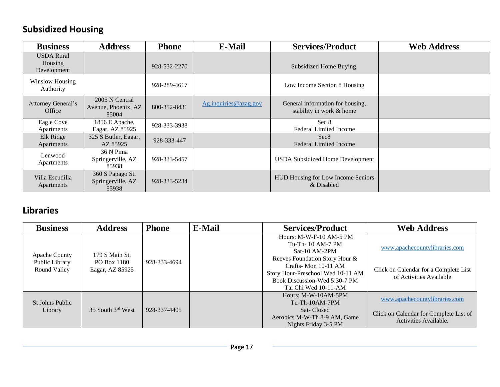# **Subsidized Housing**

| <b>Business</b>                             | <b>Address</b>                                 | <b>Phone</b> | <b>E-Mail</b>         | <b>Services/Product</b>                                      | <b>Web Address</b> |
|---------------------------------------------|------------------------------------------------|--------------|-----------------------|--------------------------------------------------------------|--------------------|
| <b>USDA</b> Rural<br>Housing<br>Development |                                                | 928-532-2270 |                       | Subsidized Home Buying,                                      |                    |
| <b>Winslow Housing</b><br>Authority         |                                                | 928-289-4617 |                       | Low Income Section 8 Housing                                 |                    |
| Attorney General's<br>Office                | 2005 N Central<br>Avenue, Phoenix, AZ<br>85004 | 800-352-8431 | Ag.inquiries@azag.gov | General information for housing,<br>stability in work & home |                    |
| Eagle Cove<br>Apartments                    | 1856 E Apache,<br>Eagar, AZ 85925              | 928-333-3938 |                       | Sec 8<br><b>Federal Limited Income</b>                       |                    |
| Elk Ridge<br>Apartments                     | 325 S Butler, Eagar,<br>AZ 85925               | 928-333-447  |                       | Sec <sub>8</sub><br><b>Federal Limited Income</b>            |                    |
| Lenwood<br>Apartments                       | 36 N Pima<br>Springerville, AZ<br>85938        | 928-333-5457 |                       | <b>USDA Subsidized Home Development</b>                      |                    |
| Villa Escudilla<br>Apartments               | 360 S Papago St.<br>Springerville, AZ<br>85938 | 928-333-5234 |                       | HUD Housing for Low Income Seniors<br>& Disabled             |                    |

#### **Libraries**

| <b>Business</b>                                 | <b>Address</b>                                   | <b>Phone</b> | <b>E-Mail</b> | <b>Services/Product</b>                                                                                                                                                                                               | <b>Web Address</b>                                                                                |
|-------------------------------------------------|--------------------------------------------------|--------------|---------------|-----------------------------------------------------------------------------------------------------------------------------------------------------------------------------------------------------------------------|---------------------------------------------------------------------------------------------------|
| Apache County<br>Public Library<br>Round Valley | 179 S Main St.<br>PO Box 1180<br>Eagar, AZ 85925 | 928-333-4694 |               | Hours: M-W-F-10 AM-5 PM<br>Tu-Th-10 AM-7 PM<br>Sat-10 $AM-2PM$<br>Reeves Foundation Story Hour &<br>Crafts-Mon 10-11 AM<br>Story Hour-Preschool Wed 10-11 AM<br>Book Discussion-Wed 5:30-7 PM<br>Tai Chi Wed 10-11-AM | www.apachecountylibraries.com<br>Click on Calendar for a Complete List<br>of Activities Available |
| St Johns Public<br>Library                      | 35 South 3rd West                                | 928-337-4405 |               | Hours: M-W-10AM-5PM<br>$Tu$ -Th-10AM-7PM<br>Sat-Closed<br>Aerobics M-W-Th 8-9 AM, Game<br>Nights Friday 3-5 PM                                                                                                        | www.apachecountylibraries.com<br>Click on Calendar for Complete List of<br>Activities Available.  |